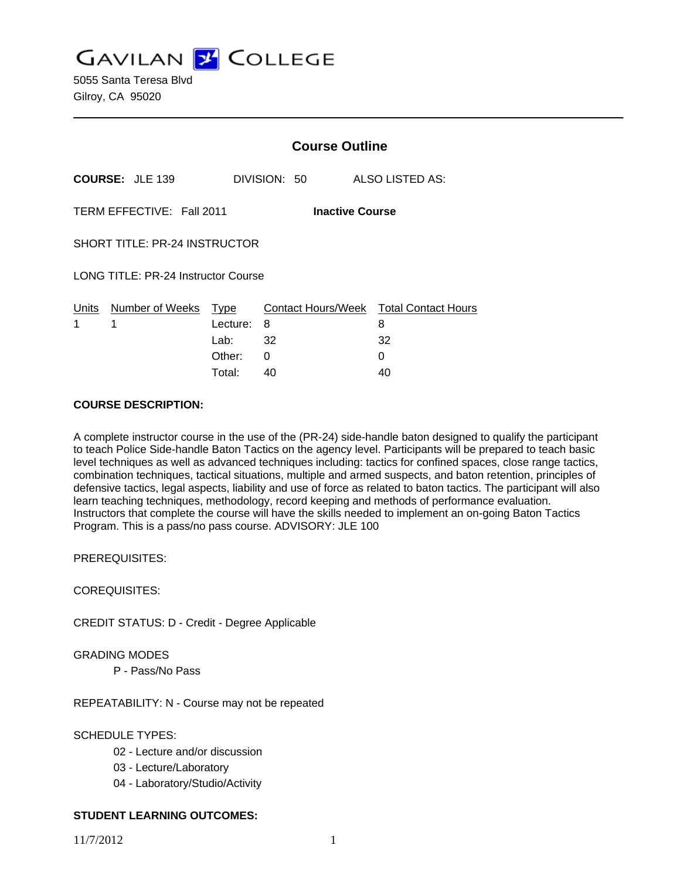**GAVILAN Z COLLEGE** 

5055 Santa Teresa Blvd Gilroy, CA 95020

|                                                     |                                 | <b>Course Outline</b> |              |                                             |
|-----------------------------------------------------|---------------------------------|-----------------------|--------------|---------------------------------------------|
|                                                     | <b>COURSE: JLE 139</b>          |                       | DIVISION: 50 | <b>ALSO LISTED AS:</b>                      |
| TERM EFFECTIVE: Fall 2011<br><b>Inactive Course</b> |                                 |                       |              |                                             |
| SHORT TITLE: PR-24 INSTRUCTOR                       |                                 |                       |              |                                             |
| LONG TITLE: PR-24 Instructor Course                 |                                 |                       |              |                                             |
| 1                                                   | Units Number of Weeks Type<br>1 | Lecture: 8            |              | Contact Hours/Week Total Contact Hours<br>8 |
|                                                     |                                 | Lab: $32$             |              | 32                                          |
|                                                     |                                 | Other:                | 0            | 0                                           |
|                                                     |                                 | Total:                | 40           | 40                                          |

#### **COURSE DESCRIPTION:**

A complete instructor course in the use of the (PR-24) side-handle baton designed to qualify the participant to teach Police Side-handle Baton Tactics on the agency level. Participants will be prepared to teach basic level techniques as well as advanced techniques including: tactics for confined spaces, close range tactics, combination techniques, tactical situations, multiple and armed suspects, and baton retention, principles of defensive tactics, legal aspects, liability and use of force as related to baton tactics. The participant will also learn teaching techniques, methodology, record keeping and methods of performance evaluation. Instructors that complete the course will have the skills needed to implement an on-going Baton Tactics Program. This is a pass/no pass course. ADVISORY: JLE 100

PREREQUISITES:

COREQUISITES:

CREDIT STATUS: D - Credit - Degree Applicable

#### GRADING MODES

P - Pass/No Pass

REPEATABILITY: N - Course may not be repeated

### SCHEDULE TYPES:

- 02 Lecture and/or discussion
- 03 Lecture/Laboratory
- 04 Laboratory/Studio/Activity

### **STUDENT LEARNING OUTCOMES:**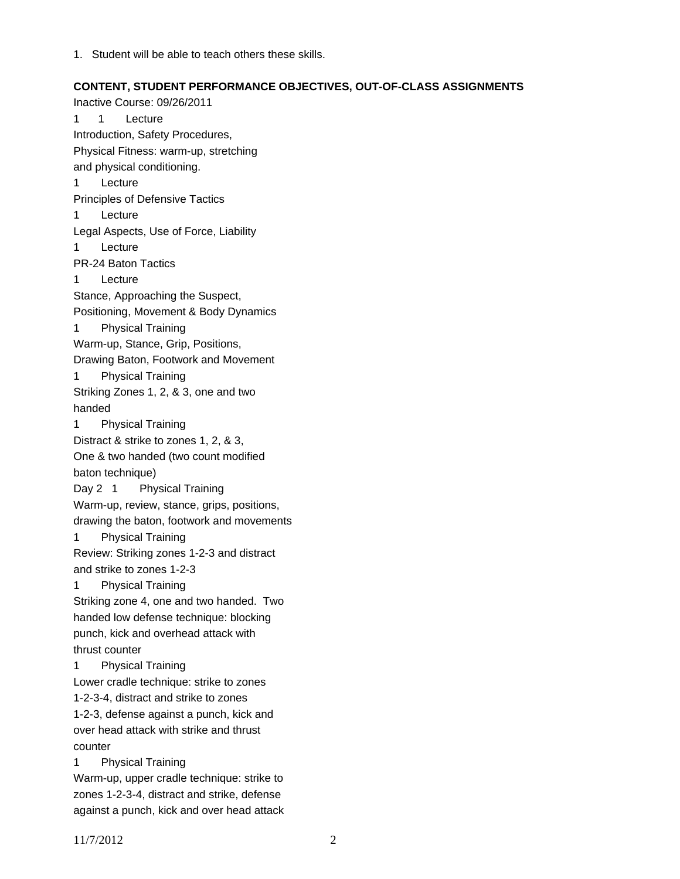1. Student will be able to teach others these skills.

#### **CONTENT, STUDENT PERFORMANCE OBJECTIVES, OUT-OF-CLASS ASSIGNMENTS**

Inactive Course: 09/26/2011 1 1 Lecture Introduction, Safety Procedures, Physical Fitness: warm-up, stretching and physical conditioning. 1 Lecture Principles of Defensive Tactics 1 Lecture Legal Aspects, Use of Force, Liability 1 Lecture PR-24 Baton Tactics 1 Lecture Stance, Approaching the Suspect, Positioning, Movement & Body Dynamics 1 Physical Training Warm-up, Stance, Grip, Positions, Drawing Baton, Footwork and Movement 1 Physical Training Striking Zones 1, 2, & 3, one and two handed 1 Physical Training Distract & strike to zones 1, 2, & 3, One & two handed (two count modified baton technique) Day 2 1 Physical Training Warm-up, review, stance, grips, positions, drawing the baton, footwork and movements 1 Physical Training Review: Striking zones 1-2-3 and distract and strike to zones 1-2-3 1 Physical Training Striking zone 4, one and two handed. Two handed low defense technique: blocking punch, kick and overhead attack with thrust counter 1 Physical Training Lower cradle technique: strike to zones 1-2-3-4, distract and strike to zones 1-2-3, defense against a punch, kick and over head attack with strike and thrust counter 1 Physical Training Warm-up, upper cradle technique: strike to zones 1-2-3-4, distract and strike, defense

against a punch, kick and over head attack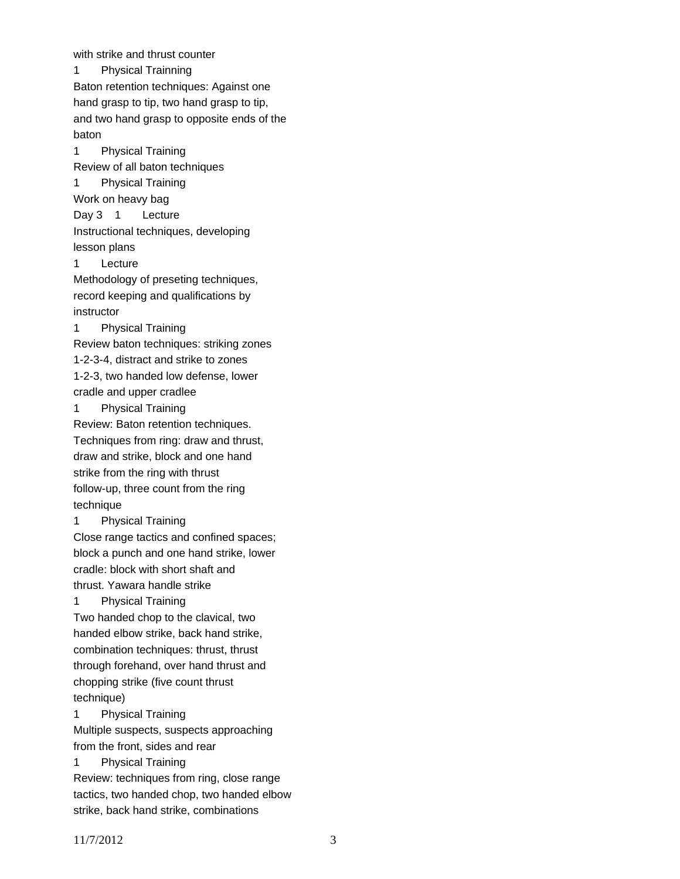with strike and thrust counter 1 Physical Trainning Baton retention techniques: Against one hand grasp to tip, two hand grasp to tip, and two hand grasp to opposite ends of the baton 1 Physical Training Review of all baton techniques 1 Physical Training Work on heavy bag Day 3 1 Lecture Instructional techniques, developing lesson plans 1 Lecture Methodology of preseting techniques, record keeping and qualifications by instructor 1 Physical Training Review baton techniques: striking zones 1-2-3-4, distract and strike to zones 1-2-3, two handed low defense, lower cradle and upper cradlee 1 Physical Training Review: Baton retention techniques. Techniques from ring: draw and thrust, draw and strike, block and one hand strike from the ring with thrust follow-up, three count from the ring technique 1 Physical Training Close range tactics and confined spaces; block a punch and one hand strike, lower cradle: block with short shaft and thrust. Yawara handle strike 1 Physical Training Two handed chop to the clavical, two handed elbow strike, back hand strike, combination techniques: thrust, thrust through forehand, over hand thrust and chopping strike (five count thrust technique) 1 Physical Training Multiple suspects, suspects approaching from the front, sides and rear 1 Physical Training Review: techniques from ring, close range tactics, two handed chop, two handed elbow strike, back hand strike, combinations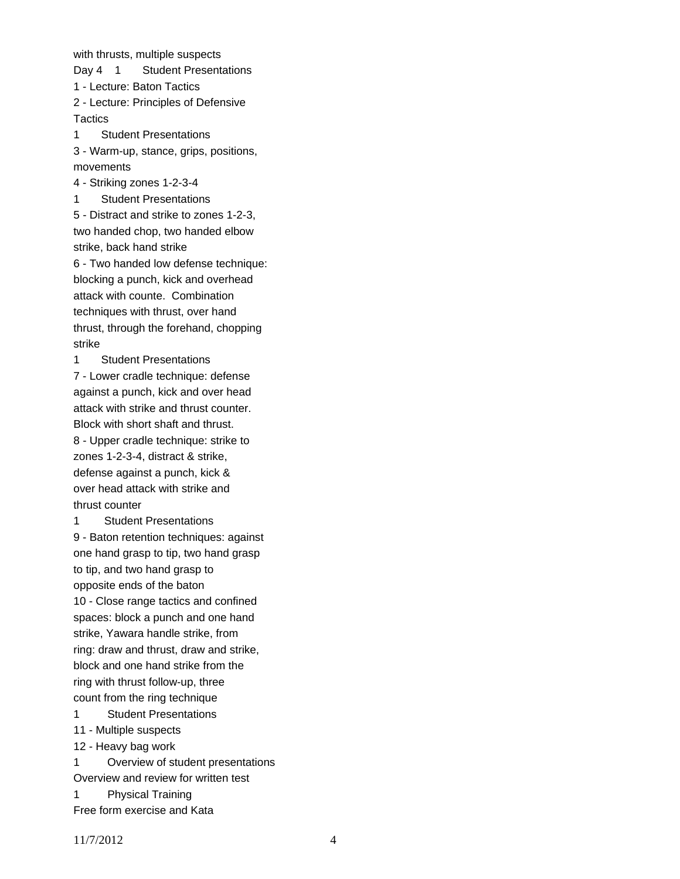with thrusts, multiple suspects

Day 4 1 Student Presentations

1 - Lecture: Baton Tactics

2 - Lecture: Principles of Defensive **Tactics** 

1 Student Presentations

3 - Warm-up, stance, grips, positions, movements

4 - Striking zones 1-2-3-4

1 Student Presentations

5 - Distract and strike to zones 1-2-3, two handed chop, two handed elbow strike, back hand strike

6 - Two handed low defense technique: blocking a punch, kick and overhead attack with counte. Combination techniques with thrust, over hand thrust, through the forehand, chopping strike

1 Student Presentations

7 - Lower cradle technique: defense against a punch, kick and over head attack with strike and thrust counter. Block with short shaft and thrust. 8 - Upper cradle technique: strike to zones 1-2-3-4, distract & strike, defense against a punch, kick & over head attack with strike and thrust counter

1 Student Presentations 9 - Baton retention techniques: against one hand grasp to tip, two hand grasp to tip, and two hand grasp to opposite ends of the baton 10 - Close range tactics and confined spaces: block a punch and one hand strike, Yawara handle strike, from ring: draw and thrust, draw and strike, block and one hand strike from the ring with thrust follow-up, three count from the ring technique 1 Student Presentations

11 - Multiple suspects

12 - Heavy bag work

1 Overview of student presentations

Overview and review for written test

1 Physical Training

Free form exercise and Kata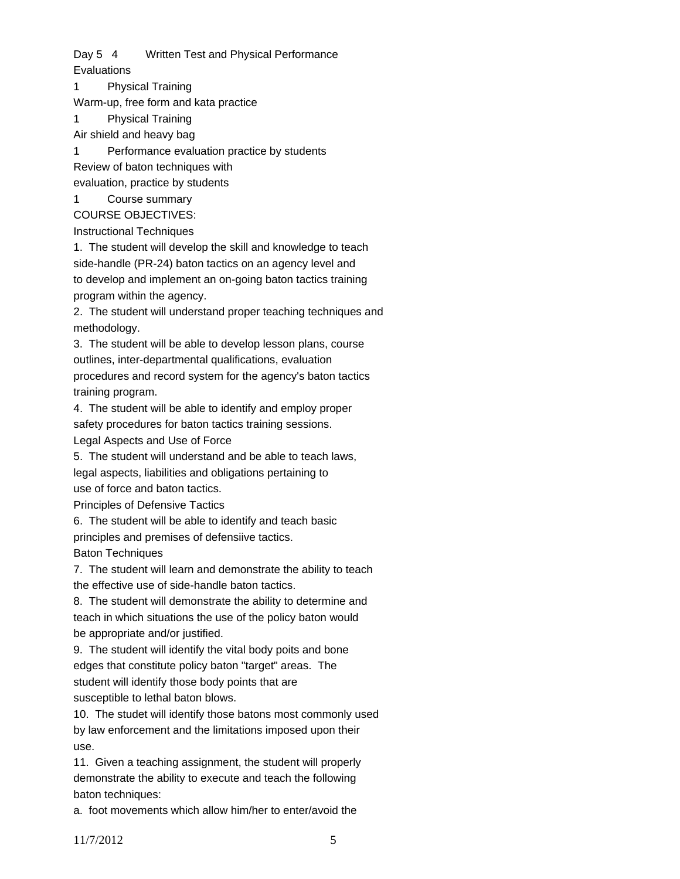Day 5 4 Written Test and Physical Performance **Evaluations** 

1 Physical Training

Warm-up, free form and kata practice

1 Physical Training

Air shield and heavy bag

1 Performance evaluation practice by students

Review of baton techniques with

evaluation, practice by students

Course summary

COURSE OBJECTIVES:

Instructional Techniques

1. The student will develop the skill and knowledge to teach side-handle (PR-24) baton tactics on an agency level and to develop and implement an on-going baton tactics training program within the agency.

2. The student will understand proper teaching techniques and methodology.

3. The student will be able to develop lesson plans, course outlines, inter-departmental qualifications, evaluation procedures and record system for the agency's baton tactics training program.

4. The student will be able to identify and employ proper safety procedures for baton tactics training sessions. Legal Aspects and Use of Force

5. The student will understand and be able to teach laws, legal aspects, liabilities and obligations pertaining to use of force and baton tactics.

Principles of Defensive Tactics

6. The student will be able to identify and teach basic principles and premises of defensiive tactics. Baton Techniques

7. The student will learn and demonstrate the ability to teach the effective use of side-handle baton tactics.

8. The student will demonstrate the ability to determine and teach in which situations the use of the policy baton would be appropriate and/or justified.

9. The student will identify the vital body poits and bone edges that constitute policy baton "target" areas. The student will identify those body points that are susceptible to lethal baton blows.

10. The studet will identify those batons most commonly used by law enforcement and the limitations imposed upon their use.

11. Given a teaching assignment, the student will properly demonstrate the ability to execute and teach the following baton techniques:

a. foot movements which allow him/her to enter/avoid the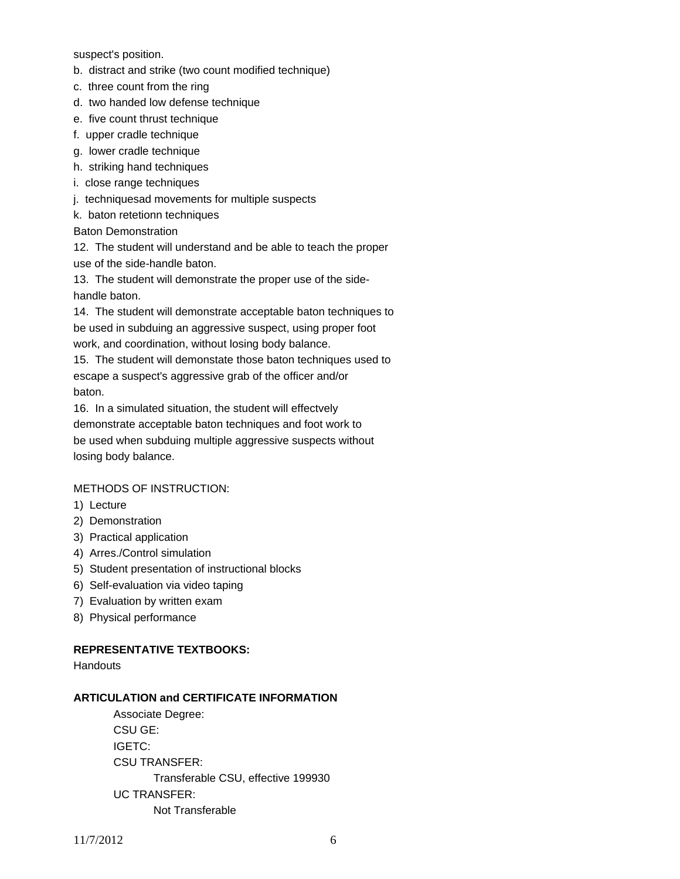suspect's position.

- b. distract and strike (two count modified technique)
- c. three count from the ring
- d. two handed low defense technique
- e. five count thrust technique
- f. upper cradle technique
- g. lower cradle technique
- h. striking hand techniques
- i. close range techniques
- j. techniquesad movements for multiple suspects
- k. baton retetionn techniques

## Baton Demonstration

12. The student will understand and be able to teach the proper use of the side-handle baton.

13. The student will demonstrate the proper use of the sidehandle baton.

14. The student will demonstrate acceptable baton techniques to be used in subduing an aggressive suspect, using proper foot work, and coordination, without losing body balance.

15. The student will demonstate those baton techniques used to escape a suspect's aggressive grab of the officer and/or baton.

16. In a simulated situation, the student will effectvely demonstrate acceptable baton techniques and foot work to be used when subduing multiple aggressive suspects without losing body balance.

# METHODS OF INSTRUCTION:

- 1) Lecture
- 2) Demonstration
- 3) Practical application
- 4) Arres./Control simulation
- 5) Student presentation of instructional blocks
- 6) Self-evaluation via video taping
- 7) Evaluation by written exam
- 8) Physical performance

## **REPRESENTATIVE TEXTBOOKS:**

**Handouts** 

# **ARTICULATION and CERTIFICATE INFORMATION**

 Transferable CSU, effective 199930 UC TRANSFER: Not Transferable Associate Degree: CSU GE: IGETC: CSU TRANSFER: